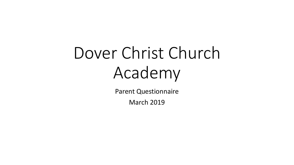# Dover Christ Church Academy

Parent Questionnaire

March 2019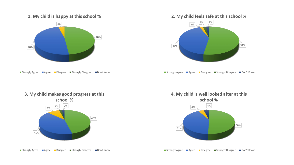#### **1. My child is happy at this school %**



■ Strongly Agree ■ Agree ■ Disagree ■ Strongly Disagree ■ Don't Know

# **2. My child feels safe at this school %**



■ Strongly Agree ■ Agree ■ Disagree ■ Strongly Disagree ■ Don't Know



**3. My child makes good progress at this** 





■ Strongly Agree ■ Agree ■ Disagree ■ Strongly Disagree ■ Don't Know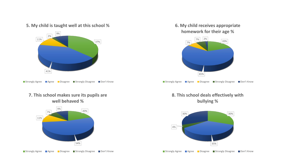#### **5. My child is taught well at this school %**



■ Strongly Agree ■ Agree ■ Disagree ■ Strongly Disagree ■ Don't Know

#### **7. This school makes sure its pupils are well behaved %**



■ Strongly Agree ■ Agree ■ Disagree ■ Strongly Disagree ■ Don't Know

### **6. My child receives appropriate homework for their age %**



■ Strongly Agree ■ Agree ■ Disagree ■ Strongly Disagree ■ Don't Know

## **8. This school deals effectively with bullying %**



■ Strongly Agree ■ Agree ■ Disagree ■ Strongly Disagree ■ Don't Know